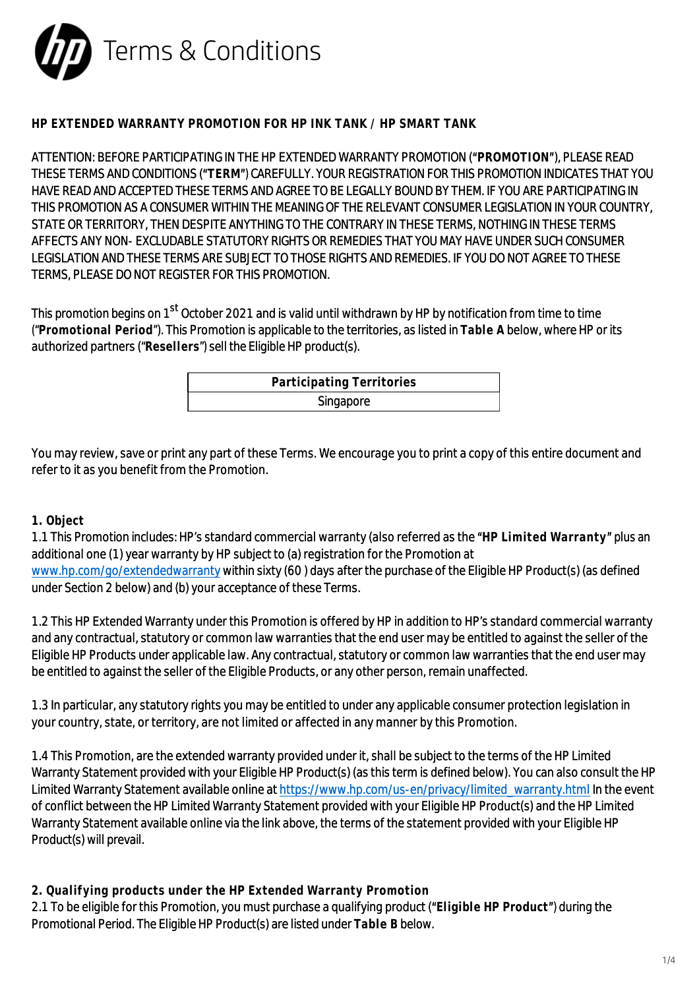

# **HP EXTENDED WARRANTY PROMOTION FOR HP INK TANK / HP SMART TANK**

ATTENTION: BEFORE PARTICIPATING IN THE HP EXTENDED WARRANTY PROMOTION (**"PROMOTION"**), PLEASE READ THESE TERMS AND CONDITIONS (**"TERM"**) CAREFULLY. YOUR REGISTRATION FOR THIS PROMOTION INDICATES THAT YOU HAVE READ AND ACCEPTED THESE TERMS AND AGREE TO BE LEGALLY BOUND BY THEM. IF YOU ARE PARTICIPATING IN THIS PROMOTION AS A CONSUMER WITHIN THE MEANING OF THE RELEVANT CONSUMER LEGISLATION IN YOUR COUNTRY, STATE OR TERRITORY, THEN DESPITE ANYTHING TO THE CONTRARY IN THESE TERMS, NOTHING IN THESE TERMS AFFECTS ANY NON- EXCLUDABLE STATUTORY RIGHTS OR REMEDIES THAT YOU MAY HAVE UNDER SUCH CONSUMER LEGISLATION AND THESE TERMS ARE SUBJECT TO THOSE RIGHTS AND REMEDIES. IF YOU DO NOT AGREE TO THESE TERMS, PLEASE DO NOT REGISTER FOR THIS PROMOTION.

This promotion begins on 1<sup>st</sup> October 2021 and is valid until withdrawn by HP by notification from time to time ("**Promotional Period**"). This Promotion is applicable to the territories, as listed in **Table A** below, where HP or its authorized partners ("**Resellers**") sell the Eligible HP product(s).

| Participating Territories |  |
|---------------------------|--|
| Singapore                 |  |

You may review, save or print any part of these Terms. We encourage you to print a copy of this entire document and refer to it as you benefit from the Promotion.

## **1. Object**

1.1 This Promotion includes: HP's standard commercial warranty (also referred as the **"HP Limited Warranty"** plus an additional one (1) year warranty by HP subject to (a) registration for the Promotion at

[www.hp.com/go/extendedwarranty](https://www.hp.com/go/extendedwarranty) within sixty (60 ) days after the purchase of the Eligible HP Product(s) (as defined under Section 2 below) and (b) your acceptance of these Terms.

1.2 This HP Extended Warranty under this Promotion is offered by HP in addition to HP's standard commercial warranty and any contractual, statutory or common law warranties that the end user may be entitled to against the seller of the Eligible HP Products under applicable law. Any contractual, statutory or common law warranties that the end user may be entitled to against the seller of the Eligible Products, or any other person, remain unaffected.

1.3 In particular, any statutory rights you may be entitled to under any applicable consumer protection legislation in your country, state, or territory, are not limited or affected in any manner by this Promotion.

1.4 This Promotion, are the extended warranty provided under it, shall be subject to the terms of the HP Limited Warranty Statement provided with your Eligible HP Product(s) (as this term is defined below). You can also consult the HP Limited Warranty Statement available online at [https://www.hp.com/us-en/privacy/limited\\_warranty.html](https://www.hp.com/us-en/privacy/limited_warranty.html) In the event of conflict between the HP Limited Warranty Statement provided with your Eligible HP Product(s) and the HP Limited Warranty Statement available online via the link above, the terms of the statement provided with your Eligible HP Product(s) will prevail.

**2. Qualifying products under the HP Extended Warranty Promotion**

2.1 To be eligible for this Promotion, you must purchase a qualifying product (**"Eligible HP Product"**) during the Promotional Period. The Eligible HP Product(s) are listed under **Table B** below.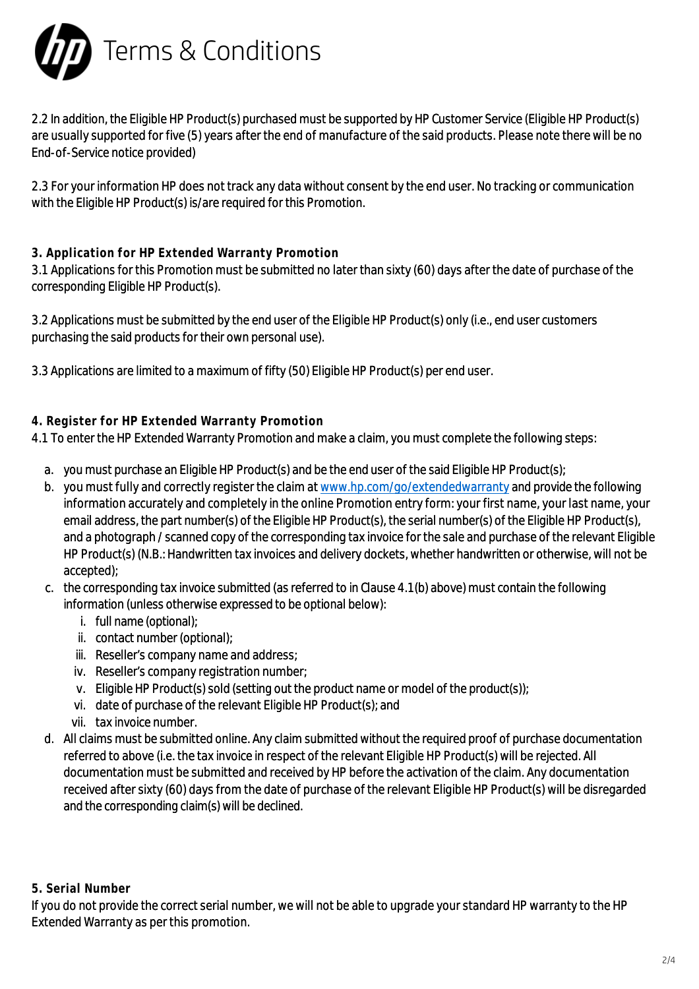

2.2 In addition, the Eligible HP Product(s) purchased must be supported by HP Customer Service (Eligible HP Product(s) are usually supported for five (5) years after the end of manufacture of the said products. Please note there will be no End-of-Service notice provided)

2.3 For your information HP does not track any data without consent by the end user. No tracking or communication with the Eligible HP Product(s) is/are required for this Promotion.

# **3. Application for HP Extended Warranty Promotion**

3.1 Applications for this Promotion must be submitted no later than sixty (60) days after the date of purchase of the corresponding Eligible HP Product(s).

3.2 Applications must be submitted by the end user of the Eligible HP Product(s) only (i.e., end user customers purchasing the said products for their own personal use).

3.3 Applications are limited to a maximum of fifty (50) Eligible HP Product(s) per end user.

# **4. Register for HP Extended Warranty Promotion**

4.1 To enter the HP Extended Warranty Promotion and make a claim, you must complete the following steps:

- a. you must purchase an Eligible HP Product(s) and be the end user of the said Eligible HP Product(s);
- b. you must fully and correctly register the claim at [www.hp.com/go/extendedwarranty](https://www.hp.com/go/extendedwarranty) and provide the following information accurately and completely in the online Promotion entry form: your first name, your last name, your email address, the part number(s) of the Eligible HP Product(s), the serial number(s) of the Eligible HP Product(s), and a photograph / scanned copy of the corresponding tax invoice for the sale and purchase of the relevant Eligible HP Product(s) (N.B.: Handwritten tax invoices and delivery dockets, whether handwritten or otherwise, will not be accepted);
- c. the corresponding tax invoice submitted (as referred to in Clause 4.1(b) above) must contain the following information (unless otherwise expressed to be optional below):
	- i. full name (optional);
	- ii. contact number (optional);
	- iii. Reseller's company name and address;
	- iv. Reseller's company registration number;
	- v. Eligible HP Product(s) sold (setting out the product name or model of the product(s));
	- vi. date of purchase of the relevant Eligible HP Product(s); and
	- vii. tax invoice number.
- d. All claims must be submitted online. Any claim submitted without the required proof of purchase documentation referred to above (i.e. the tax invoice in respect of the relevant Eligible HP Product(s) will be rejected. All documentation must be submitted and received by HP before the activation of the claim. Any documentation received after sixty (60) days from the date of purchase of the relevant Eligible HP Product(s) will be disregarded and the corresponding claim(s) will be declined.

#### **5. Serial Number**

If you do not provide the correct serial number, we will not be able to upgrade your standard HP warranty to the HP Extended Warranty as per this promotion.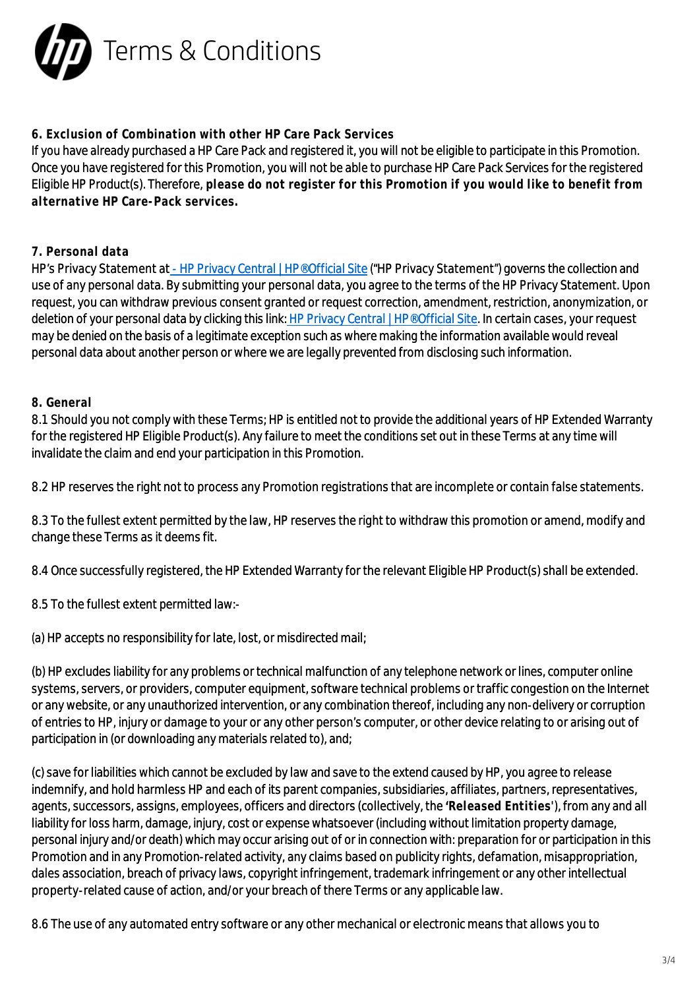

## **6. Exclusion of Combination with other HP Care Pack Services**

If you have already purchased a HP Care Pack and registered it, you will not be eligible to participate in this Promotion. Once you have registered for this Promotion, you will not be able to purchase HP Care Pack Services for the registered Eligible HP Product(s). Therefore, **please do not register for this Promotion if you would like to benefit from alternative HP Care-Pack services.**

# **7. Personal data**

HP's Privacy Statement at - [HP Privacy Central | HP® Official Site](https://www.hp.com/us-en/privacy/privacy-central.html) ("HP Privacy Statement") governs the collection and use of any personal data. By submitting your personal data, you agree to the terms of the HP Privacy Statement. Upon request, you can withdraw previous consent granted or request correction, amendment, restriction, anonymization, or deletion of your personal data by clicking this link[: HP Privacy Central | HP® Official Site](https://www.hp.com/us-en/privacy/privacy-central.html). In certain cases, your request may be denied on the basis of a legitimate exception such as where making the information available would reveal personal data about another person or where we are legally prevented from disclosing such information.

## **8. General**

8.1 Should you not comply with these Terms; HP is entitled not to provide the additional years of HP Extended Warranty for the registered HP Eligible Product(s). Any failure to meet the conditions set out in these Terms at any time will invalidate the claim and end your participation in this Promotion.

8.2 HP reserves the right not to process any Promotion registrations that are incomplete or contain false statements.

8.3 To the fullest extent permitted by the law, HP reserves the right to withdraw this promotion or amend, modify and change these Terms as it deems fit.

8.4 Once successfully registered, the HP Extended Warranty for the relevant Eligible HP Product(s) shall be extended.

8.5 To the fullest extent permitted law:-

(a) HP accepts no responsibility for late, lost, or misdirected mail;

(b) HP excludes liability for any problems or technical malfunction of any telephone network or lines, computer online systems, servers, or providers, computer equipment, software technical problems or traffic congestion on the Internet or any website, or any unauthorized intervention, or any combination thereof, including any non-delivery or corruption of entries to HP, injury or damage to your or any other person's computer, or other device relating to or arising out of participation in (or downloading any materials related to), and;

(c) save for liabilities which cannot be excluded by law and save to the extend caused by HP, you agree to release indemnify, and hold harmless HP and each of its parent companies, subsidiaries, affiliates, partners, representatives, agents, successors, assigns, employees, officers and directors (collectively, the **'Released Entities'**), from any and all liability for loss harm, damage, injury, cost or expense whatsoever (including without limitation property damage, personal injury and/or death) which may occur arising out of or in connection with: preparation for or participation in this Promotion and in any Promotion-related activity, any claims based on publicity rights, defamation, misappropriation, dales association, breach of privacy laws, copyright infringement, trademark infringement or any other intellectual property-related cause of action, and/or your breach of there Terms or any applicable law.

8.6 The use of any automated entry software or any other mechanical or electronic means that allows you to